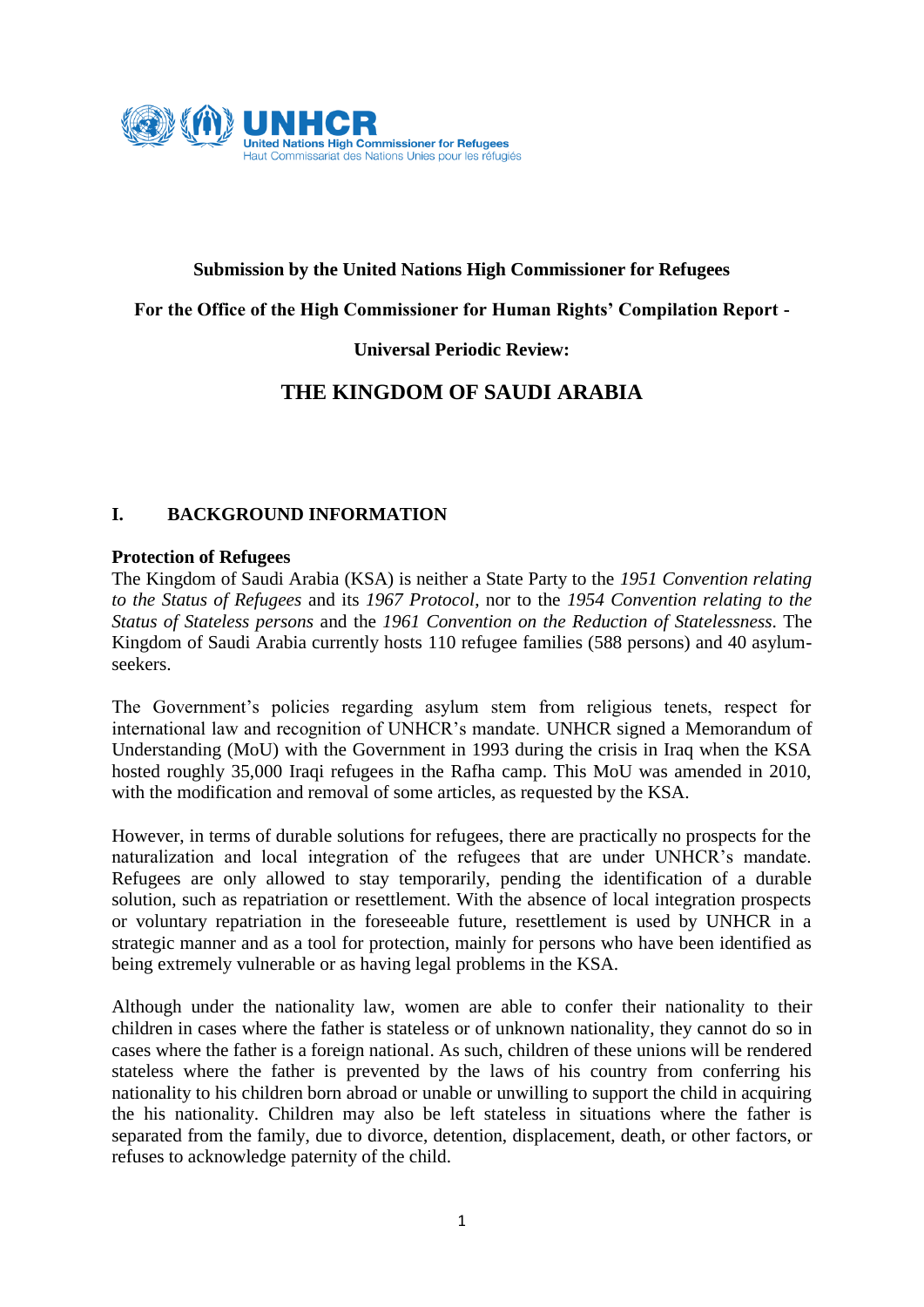

#### **Submission by the United Nations High Commissioner for Refugees**

#### **For the Office of the High Commissioner for Human Rights' Compilation Report -**

### **Universal Periodic Review:**

# **THE KINGDOM OF SAUDI ARABIA**

### **I. BACKGROUND INFORMATION**

#### **Protection of Refugees**

The Kingdom of Saudi Arabia (KSA) is neither a State Party to the *1951 Convention relating to the Status of Refugees* and its *1967 Protocol*, nor to the *1954 Convention relating to the Status of Stateless persons* and the *1961 Convention on the Reduction of Statelessness*. The Kingdom of Saudi Arabia currently hosts 110 refugee families (588 persons) and 40 asylumseekers.

The Government's policies regarding asylum stem from religious tenets, respect for international law and recognition of UNHCR's mandate. UNHCR signed a Memorandum of Understanding (MoU) with the Government in 1993 during the crisis in Iraq when the KSA hosted roughly 35,000 Iraqi refugees in the Rafha camp. This MoU was amended in 2010, with the modification and removal of some articles, as requested by the KSA.

However, in terms of durable solutions for refugees, there are practically no prospects for the naturalization and local integration of the refugees that are under UNHCR's mandate. Refugees are only allowed to stay temporarily, pending the identification of a durable solution, such as repatriation or resettlement. With the absence of local integration prospects or voluntary repatriation in the foreseeable future, resettlement is used by UNHCR in a strategic manner and as a tool for protection, mainly for persons who have been identified as being extremely vulnerable or as having legal problems in the KSA.

Although under the nationality law, women are able to confer their nationality to their children in cases where the father is stateless or of unknown nationality, they cannot do so in cases where the father is a foreign national. As such, children of these unions will be rendered stateless where the father is prevented by the laws of his country from conferring his nationality to his children born abroad or unable or unwilling to support the child in acquiring the his nationality. Children may also be left stateless in situations where the father is separated from the family, due to divorce, detention, displacement, death, or other factors, or refuses to acknowledge paternity of the child.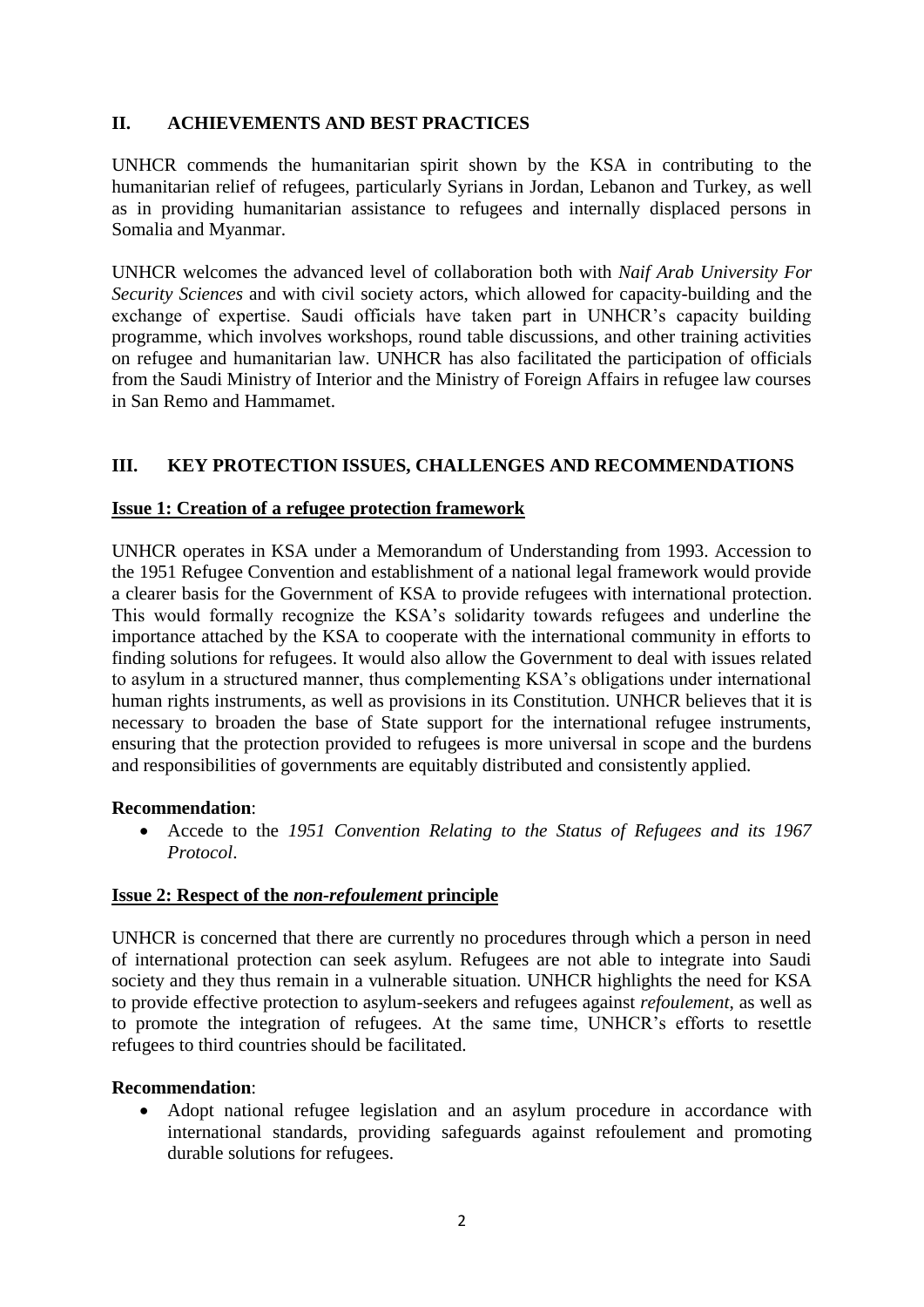# **II. ACHIEVEMENTS AND BEST PRACTICES**

UNHCR commends the humanitarian spirit shown by the KSA in contributing to the humanitarian relief of refugees, particularly Syrians in Jordan, Lebanon and Turkey, as well as in providing humanitarian assistance to refugees and internally displaced persons in Somalia and Myanmar.

UNHCR welcomes the advanced level of collaboration both with *Naif Arab University For Security Sciences* and with civil society actors, which allowed for capacity-building and the exchange of expertise. Saudi officials have taken part in UNHCR's capacity building programme, which involves workshops, round table discussions, and other training activities on refugee and humanitarian law. UNHCR has also facilitated the participation of officials from the Saudi Ministry of Interior and the Ministry of Foreign Affairs in refugee law courses in San Remo and Hammamet.

## **III. KEY PROTECTION ISSUES, CHALLENGES AND RECOMMENDATIONS**

### **Issue 1: Creation of a refugee protection framework**

UNHCR operates in KSA under a Memorandum of Understanding from 1993. Accession to the 1951 Refugee Convention and establishment of a national legal framework would provide a clearer basis for the Government of KSA to provide refugees with international protection. This would formally recognize the KSA's solidarity towards refugees and underline the importance attached by the KSA to cooperate with the international community in efforts to finding solutions for refugees. It would also allow the Government to deal with issues related to asylum in a structured manner, thus complementing KSA's obligations under international human rights instruments, as well as provisions in its Constitution. UNHCR believes that it is necessary to broaden the base of State support for the international refugee instruments, ensuring that the protection provided to refugees is more universal in scope and the burdens and responsibilities of governments are equitably distributed and consistently applied.

#### **Recommendation**:

 Accede to the *1951 Convention Relating to the Status of Refugees and its 1967 Protocol*.

#### **Issue 2: Respect of the** *non-refoulement* **principle**

UNHCR is concerned that there are currently no procedures through which a person in need of international protection can seek asylum. Refugees are not able to integrate into Saudi society and they thus remain in a vulnerable situation. UNHCR highlights the need for KSA to provide effective protection to asylum-seekers and refugees against *refoulement*, as well as to promote the integration of refugees*.* At the same time, UNHCR's efforts to resettle refugees to third countries should be facilitated.

#### **Recommendation**:

 Adopt national refugee legislation and an asylum procedure in accordance with international standards, providing safeguards against refoulement and promoting durable solutions for refugees.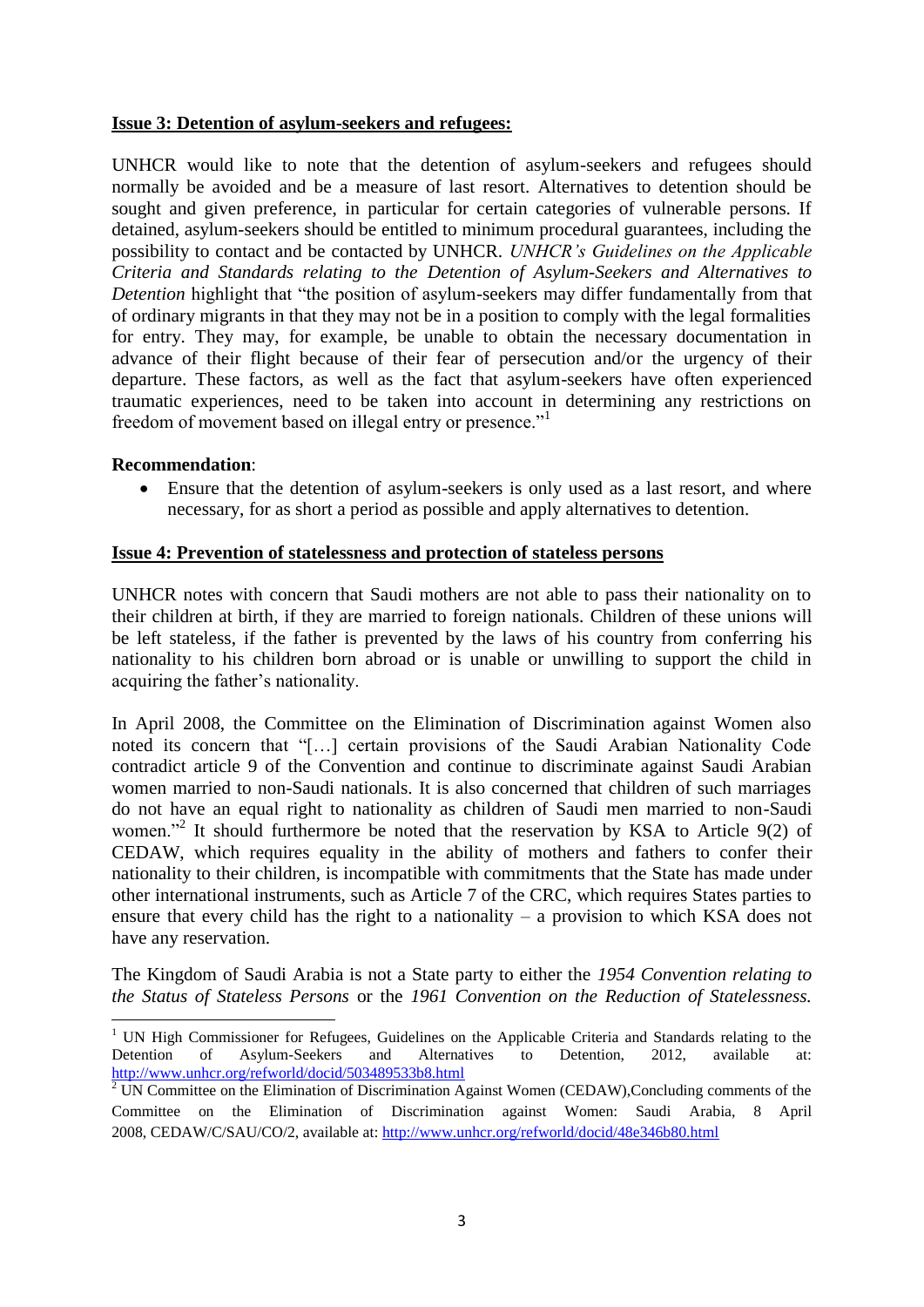#### **Issue 3: Detention of asylum-seekers and refugees:**

UNHCR would like to note that the detention of asylum-seekers and refugees should normally be avoided and be a measure of last resort. Alternatives to detention should be sought and given preference, in particular for certain categories of vulnerable persons. If detained, asylum-seekers should be entitled to minimum procedural guarantees, including the possibility to contact and be contacted by UNHCR. *UNHCR's Guidelines on the Applicable Criteria and Standards relating to the Detention of Asylum-Seekers and Alternatives to Detention* highlight that "the position of asylum-seekers may differ fundamentally from that of ordinary migrants in that they may not be in a position to comply with the legal formalities for entry. They may, for example, be unable to obtain the necessary documentation in advance of their flight because of their fear of persecution and/or the urgency of their departure. These factors, as well as the fact that asylum-seekers have often experienced traumatic experiences, need to be taken into account in determining any restrictions on freedom of movement based on illegal entry or presence."<sup>1</sup>

#### **Recommendation**:

 Ensure that the detention of asylum-seekers is only used as a last resort, and where necessary, for as short a period as possible and apply alternatives to detention.

#### **Issue 4: Prevention of statelessness and protection of stateless persons**

UNHCR notes with concern that Saudi mothers are not able to pass their nationality on to their children at birth, if they are married to foreign nationals. Children of these unions will be left stateless, if the father is prevented by the laws of his country from conferring his nationality to his children born abroad or is unable or unwilling to support the child in acquiring the father's nationality.

In April 2008, the Committee on the Elimination of Discrimination against Women also noted its concern that "[…] certain provisions of the Saudi Arabian Nationality Code contradict article 9 of the Convention and continue to discriminate against Saudi Arabian women married to non-Saudi nationals. It is also concerned that children of such marriages do not have an equal right to nationality as children of Saudi men married to non-Saudi women."<sup>2</sup> It should furthermore be noted that the reservation by KSA to Article 9(2) of CEDAW, which requires equality in the ability of mothers and fathers to confer their nationality to their children, is incompatible with commitments that the State has made under other international instruments, such as Article 7 of the CRC, which requires States parties to ensure that every child has the right to a nationality – a provision to which KSA does not have any reservation.

The Kingdom of Saudi Arabia is not a State party to either the *1954 Convention relating to the Status of Stateless Persons* or the *1961 Convention on the Reduction of Statelessness.*

<sup>.</sup> <sup>1</sup> UN High Commissioner for Refugees, Guidelines on the Applicable Criteria and Standards relating to the Detention of Asylum-Seekers and Alternatives to Detention, 2012, available at: <http://www.unhcr.org/refworld/docid/503489533b8.html>

 $2$  UN Committee on the Elimination of Discrimination Against Women (CEDAW), Concluding comments of the Committee on the Elimination of Discrimination against Women: Saudi Arabia, 8 April 2008, CEDAW/C/SAU/CO/2, available at:<http://www.unhcr.org/refworld/docid/48e346b80.html>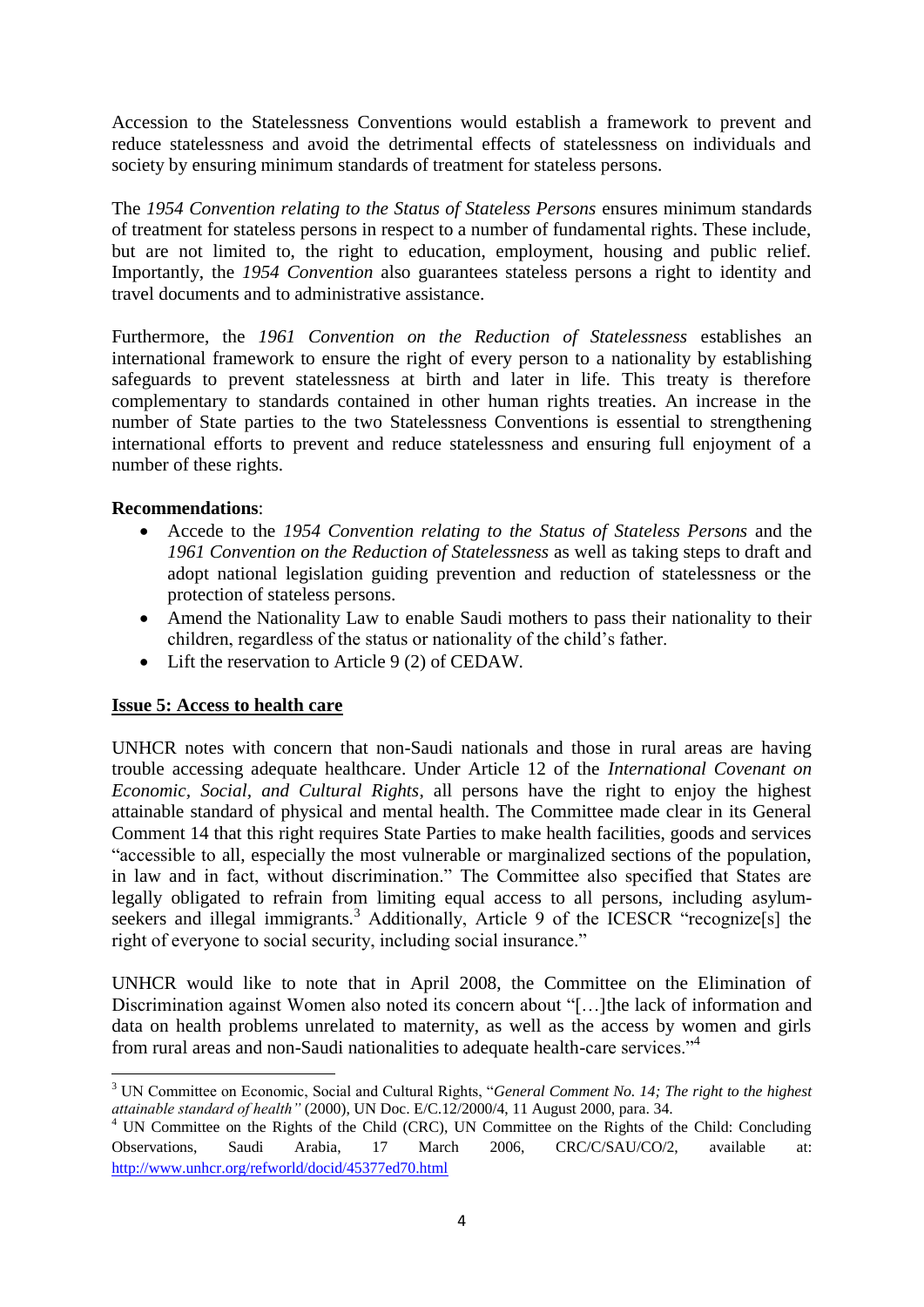Accession to the Statelessness Conventions would establish a framework to prevent and reduce statelessness and avoid the detrimental effects of statelessness on individuals and society by ensuring minimum standards of treatment for stateless persons.

The *1954 Convention relating to the Status of Stateless Persons* ensures minimum standards of treatment for stateless persons in respect to a number of fundamental rights. These include, but are not limited to, the right to education, employment, housing and public relief. Importantly, the *1954 Convention* also guarantees stateless persons a right to identity and travel documents and to administrative assistance.

Furthermore, the *1961 Convention on the Reduction of Statelessness* establishes an international framework to ensure the right of every person to a nationality by establishing safeguards to prevent statelessness at birth and later in life. This treaty is therefore complementary to standards contained in other human rights treaties. An increase in the number of State parties to the two Statelessness Conventions is essential to strengthening international efforts to prevent and reduce statelessness and ensuring full enjoyment of a number of these rights.

### **Recommendations**:

- Accede to the *1954 Convention relating to the Status of Stateless Persons* and the *1961 Convention on the Reduction of Statelessness* as well as taking steps to draft and adopt national legislation guiding prevention and reduction of statelessness or the protection of stateless persons.
- Amend the Nationality Law to enable Saudi mothers to pass their nationality to their children, regardless of the status or nationality of the child's father.
- Lift the reservation to Article 9 (2) of CEDAW.

## **Issue 5: Access to health care**

UNHCR notes with concern that non-Saudi nationals and those in rural areas are having trouble accessing adequate healthcare. Under Article 12 of the *International Covenant on Economic, Social, and Cultural Rights*, all persons have the right to enjoy the highest attainable standard of physical and mental health. The Committee made clear in its General Comment 14 that this right requires State Parties to make health facilities, goods and services "accessible to all, especially the most vulnerable or marginalized sections of the population, in law and in fact, without discrimination." The Committee also specified that States are legally obligated to refrain from limiting equal access to all persons, including asylumseekers and illegal immigrants.<sup>3</sup> Additionally, Article 9 of the ICESCR "recognize<sup>[s]</sup> the right of everyone to social security, including social insurance."

UNHCR would like to note that in April 2008, the Committee on the Elimination of Discrimination against Women also noted its concern about "[…]the lack of information and data on health problems unrelated to maternity, as well as the access by women and girls from rural areas and non-Saudi nationalities to adequate health-care services."<sup>4</sup>

<sup>1</sup> <sup>3</sup> UN Committee on Economic, Social and Cultural Rights, "*General Comment No. 14; The right to the highest attainable standard of health"* (2000), UN Doc. E/C.12/2000/4, 11 August 2000, para. 34.

<sup>4</sup> UN Committee on the Rights of the Child (CRC), UN Committee on the Rights of the Child: Concluding Observations, Saudi Arabia, 17 March 2006, CRC/C/SAU/CO/2, available at: <http://www.unhcr.org/refworld/docid/45377ed70.html>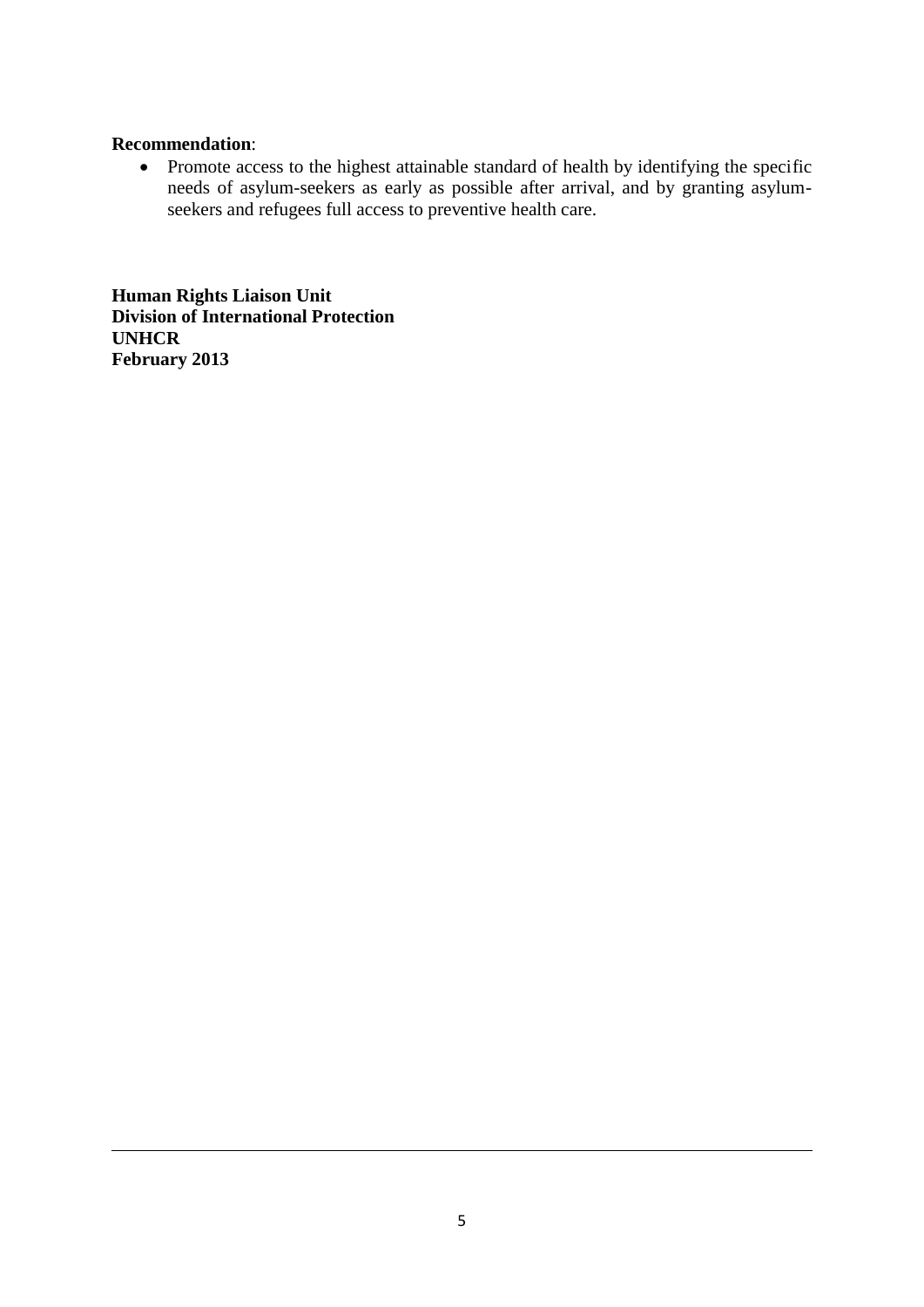#### **Recommendation**:

1

 Promote access to the highest attainable standard of health by identifying the specific needs of asylum-seekers as early as possible after arrival, and by granting asylumseekers and refugees full access to preventive health care.

**Human Rights Liaison Unit Division of International Protection UNHCR February 2013**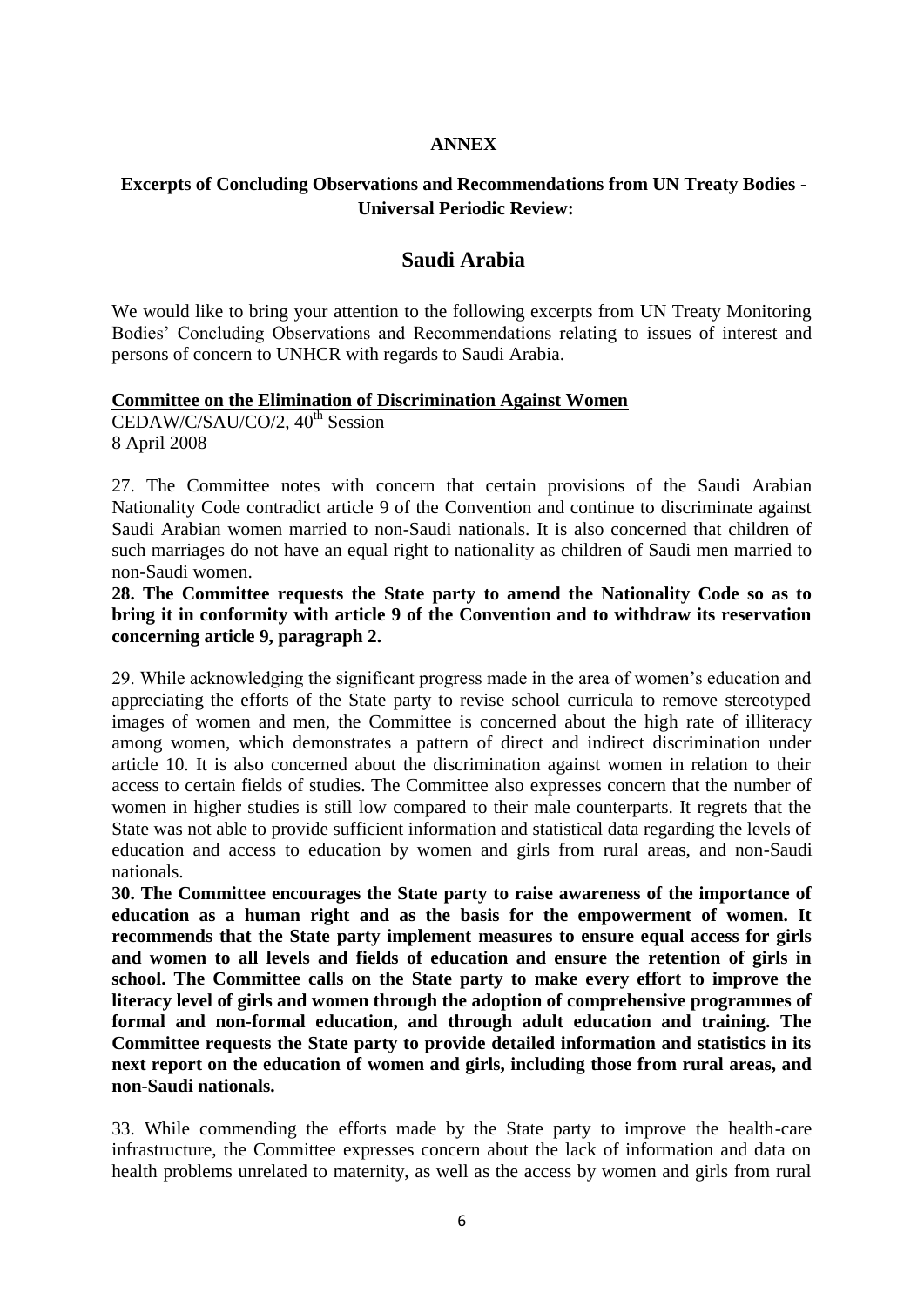#### **ANNEX**

## **Excerpts of Concluding Observations and Recommendations from UN Treaty Bodies - Universal Periodic Review:**

# **Saudi Arabia**

We would like to bring your attention to the following excerpts from UN Treaty Monitoring Bodies' Concluding Observations and Recommendations relating to issues of interest and persons of concern to UNHCR with regards to Saudi Arabia.

#### **Committee on the Elimination of Discrimination Against Women**

CEDAW/C/SAU/CO/2, 40<sup>th</sup> Session 8 April 2008

27. The Committee notes with concern that certain provisions of the Saudi Arabian Nationality Code contradict article 9 of the Convention and continue to discriminate against Saudi Arabian women married to non-Saudi nationals. It is also concerned that children of such marriages do not have an equal right to nationality as children of Saudi men married to non-Saudi women.

**28. The Committee requests the State party to amend the Nationality Code so as to bring it in conformity with article 9 of the Convention and to withdraw its reservation concerning article 9, paragraph 2.**

29. While acknowledging the significant progress made in the area of women's education and appreciating the efforts of the State party to revise school curricula to remove stereotyped images of women and men, the Committee is concerned about the high rate of illiteracy among women, which demonstrates a pattern of direct and indirect discrimination under article 10. It is also concerned about the discrimination against women in relation to their access to certain fields of studies. The Committee also expresses concern that the number of women in higher studies is still low compared to their male counterparts. It regrets that the State was not able to provide sufficient information and statistical data regarding the levels of education and access to education by women and girls from rural areas, and non-Saudi nationals.

**30. The Committee encourages the State party to raise awareness of the importance of education as a human right and as the basis for the empowerment of women. It recommends that the State party implement measures to ensure equal access for girls and women to all levels and fields of education and ensure the retention of girls in school. The Committee calls on the State party to make every effort to improve the literacy level of girls and women through the adoption of comprehensive programmes of formal and non-formal education, and through adult education and training. The Committee requests the State party to provide detailed information and statistics in its next report on the education of women and girls, including those from rural areas, and non-Saudi nationals.**

33. While commending the efforts made by the State party to improve the health-care infrastructure, the Committee expresses concern about the lack of information and data on health problems unrelated to maternity, as well as the access by women and girls from rural